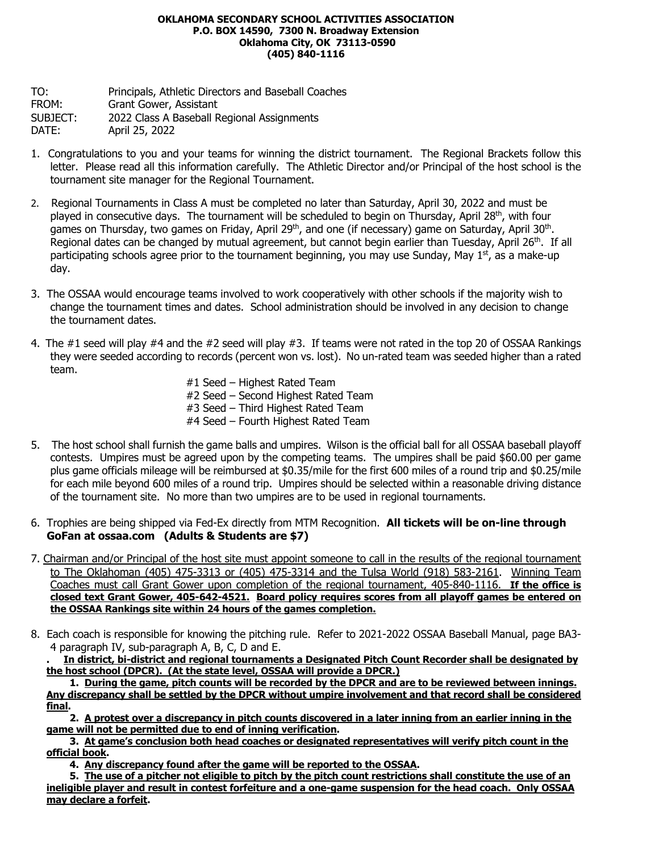### **OKLAHOMA SECONDARY SCHOOL ACTIVITIES ASSOCIATION P.O. BOX 14590, 7300 N. Broadway Extension Oklahoma City, OK 73113-0590 (405) 840-1116**

TO: Principals, Athletic Directors and Baseball Coaches FROM: Grant Gower, Assistant SUBJECT: 2022 Class A Baseball Regional Assignments DATE: April 25, 2022

- 1. Congratulations to you and your teams for winning the district tournament. The Regional Brackets follow this letter. Please read all this information carefully. The Athletic Director and/or Principal of the host school is the tournament site manager for the Regional Tournament.
- 2. Regional Tournaments in Class A must be completed no later than Saturday, April 30, 2022 and must be played in consecutive days. The tournament will be scheduled to begin on Thursday, April 28<sup>th</sup>, with four games on Thursday, two games on Friday, April 29<sup>th</sup>, and one (if necessary) game on Saturday, April 30<sup>th</sup>. Regional dates can be changed by mutual agreement, but cannot begin earlier than Tuesday, April 26<sup>th</sup>. If all participating schools agree prior to the tournament beginning, you may use Sunday, May  $1<sup>st</sup>$ , as a make-up day.
- 3. The OSSAA would encourage teams involved to work cooperatively with other schools if the majority wish to change the tournament times and dates. School administration should be involved in any decision to change the tournament dates.
- 4. The #1 seed will play #4 and the #2 seed will play #3. If teams were not rated in the top 20 of OSSAA Rankings they were seeded according to records (percent won vs. lost). No un-rated team was seeded higher than a rated team.
	- #1 Seed Highest Rated Team #2 Seed – Second Highest Rated Team #3 Seed – Third Highest Rated Team #4 Seed – Fourth Highest Rated Team
- 5. The host school shall furnish the game balls and umpires. Wilson is the official ball for all OSSAA baseball playoff contests. Umpires must be agreed upon by the competing teams. The umpires shall be paid \$60.00 per game plus game officials mileage will be reimbursed at \$0.35/mile for the first 600 miles of a round trip and \$0.25/mile for each mile beyond 600 miles of a round trip. Umpires should be selected within a reasonable driving distance of the tournament site. No more than two umpires are to be used in regional tournaments.
- 6. Trophies are being shipped via Fed-Ex directly from MTM Recognition. **All tickets will be on-line through GoFan at ossaa.com (Adults & Students are \$7)**
- 7. Chairman and/or Principal of the host site must appoint someone to call in the results of the regional tournament to The Oklahoman (405) 475-3313 or (405) 475-3314 and the Tulsa World (918) 583-2161. Winning Team Coaches must call Grant Gower upon completion of the regional tournament, 405-840-1116. **If the office is closed text Grant Gower, 405-642-4521. Board policy requires scores from all playoff games be entered on the OSSAA Rankings site within 24 hours of the games completion.**
- 8. Each coach is responsible for knowing the pitching rule. Refer to 2021-2022 OSSAA Baseball Manual, page BA3- 4 paragraph IV, sub-paragraph A, B, C, D and E.

**. In district, bi-district and regional tournaments a Designated Pitch Count Recorder shall be designated by the host school (DPCR). (At the state level, OSSAA will provide a DPCR.)**

**1. During the game, pitch counts will be recorded by the DPCR and are to be reviewed between innings. Any discrepancy shall be settled by the DPCR without umpire involvement and that record shall be considered final.**

**2. A protest over a discrepancy in pitch counts discovered in a later inning from an earlier inning in the game will not be permitted due to end of inning verification.**

**3. At game's conclusion both head coaches or designated representatives will verify pitch count in the official book.**

**4. Any discrepancy found after the game will be reported to the OSSAA.**

**5. The use of a pitcher not eligible to pitch by the pitch count restrictions shall constitute the use of an ineligible player and result in contest forfeiture and a one-game suspension for the head coach. Only OSSAA may declare a forfeit.**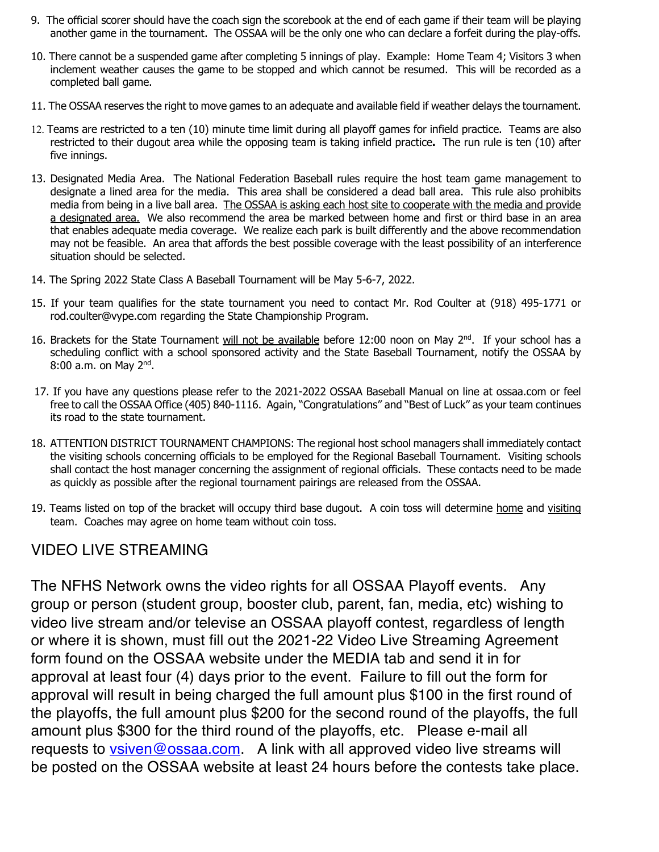- 9. The official scorer should have the coach sign the scorebook at the end of each game if their team will be playing another game in the tournament. The OSSAA will be the only one who can declare a forfeit during the play-offs.
- 10. There cannot be a suspended game after completing 5 innings of play. Example: Home Team 4; Visitors 3 when inclement weather causes the game to be stopped and which cannot be resumed. This will be recorded as a completed ball game.
- 11. The OSSAA reserves the right to move games to an adequate and available field if weather delays the tournament.
- 12. Teams are restricted to a ten (10) minute time limit during all playoff games for infield practice. Teams are also restricted to their dugout area while the opposing team is taking infield practice**.** The run rule is ten (10) after five innings.
- 13. Designated Media Area. The National Federation Baseball rules require the host team game management to designate a lined area for the media. This area shall be considered a dead ball area. This rule also prohibits media from being in a live ball area. The OSSAA is asking each host site to cooperate with the media and provide a designated area. We also recommend the area be marked between home and first or third base in an area that enables adequate media coverage. We realize each park is built differently and the above recommendation may not be feasible. An area that affords the best possible coverage with the least possibility of an interference situation should be selected.
- 14. The Spring 2022 State Class A Baseball Tournament will be May 5-6-7, 2022.
- 15. If your team qualifies for the state tournament you need to contact Mr. Rod Coulter at (918) 495-1771 or rod.coulter@vype.com regarding the State Championship Program.
- 16. Brackets for the State Tournament will not be available before 12:00 noon on May 2<sup>nd</sup>. If your school has a scheduling conflict with a school sponsored activity and the State Baseball Tournament, notify the OSSAA by  $8:00$  a.m. on May  $2<sup>nd</sup>$ .
- 17. If you have any questions please refer to the 2021-2022 OSSAA Baseball Manual on line at ossaa.com or feel free to call the OSSAA Office (405) 840-1116. Again, "Congratulations" and "Best of Luck" as your team continues its road to the state tournament.
- 18. ATTENTION DISTRICT TOURNAMENT CHAMPIONS: The regional host school managers shall immediately contact the visiting schools concerning officials to be employed for the Regional Baseball Tournament. Visiting schools shall contact the host manager concerning the assignment of regional officials. These contacts need to be made as quickly as possible after the regional tournament pairings are released from the OSSAA.
- 19. Teams listed on top of the bracket will occupy third base dugout. A coin toss will determine home and visiting team. Coaches may agree on home team without coin toss.

# VIDEO LIVE STREAMING

The NFHS Network owns the video rights for all OSSAA Playoff events. Any group or person (student group, booster club, parent, fan, media, etc) wishing to video live stream and/or televise an OSSAA playoff contest, regardless of length or where it is shown, must fill out the 2021-22 Video Live Streaming Agreement form found on the OSSAA website under the MEDIA tab and send it in for approval at least four (4) days prior to the event. Failure to fill out the form for approval will result in being charged the full amount plus \$100 in the first round of the playoffs, the full amount plus \$200 for the second round of the playoffs, the full amount plus \$300 for the third round of the playoffs, etc. Please e-mail all requests to vsiven@ossaa.com. A link with all approved video live streams will be posted on the OSSAA website at least 24 hours before the contests take place.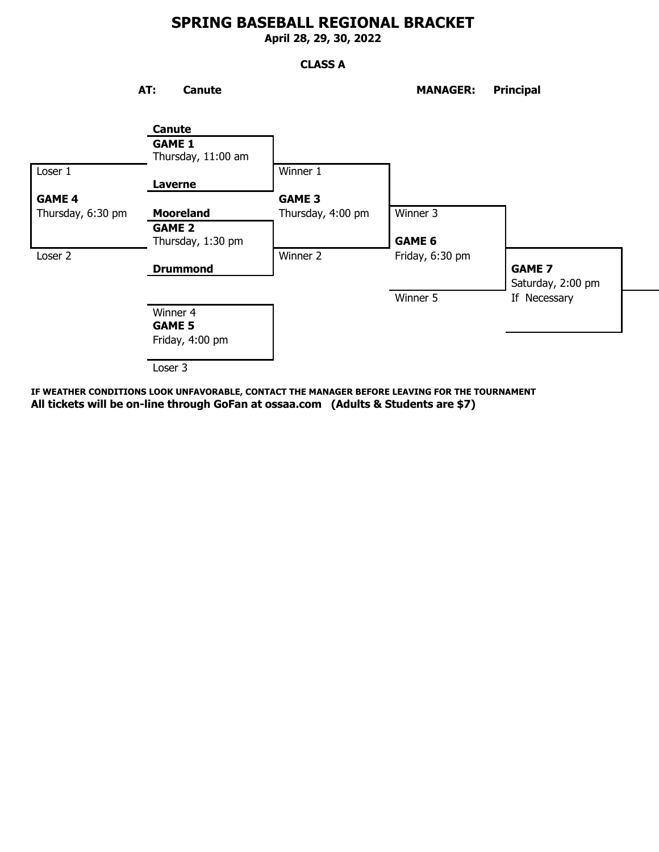**April 28, 29, 30, 2022**

## **CLASS A**

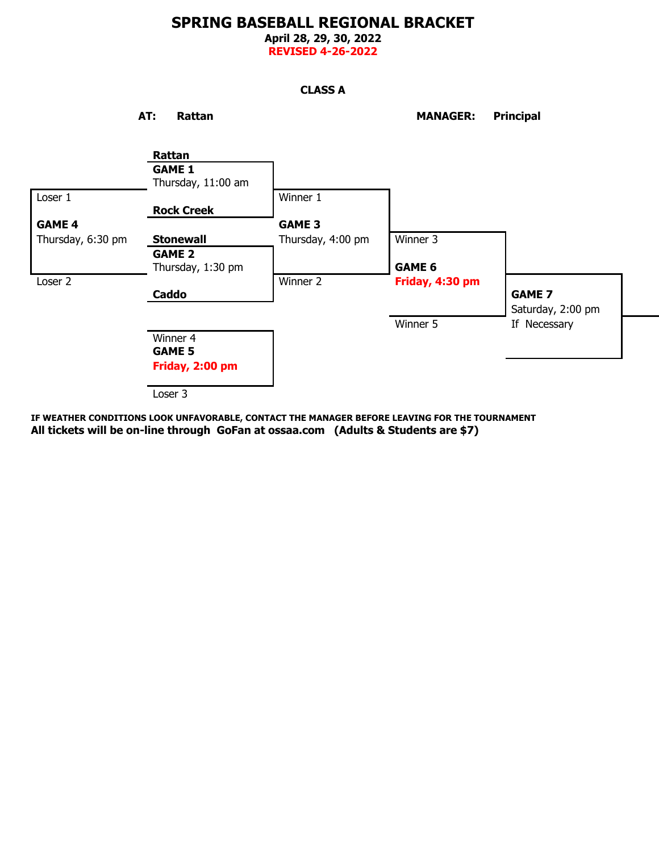**April 28, 29, 30, 2022 REVISED 4-26-2022**

## **CLASS A**

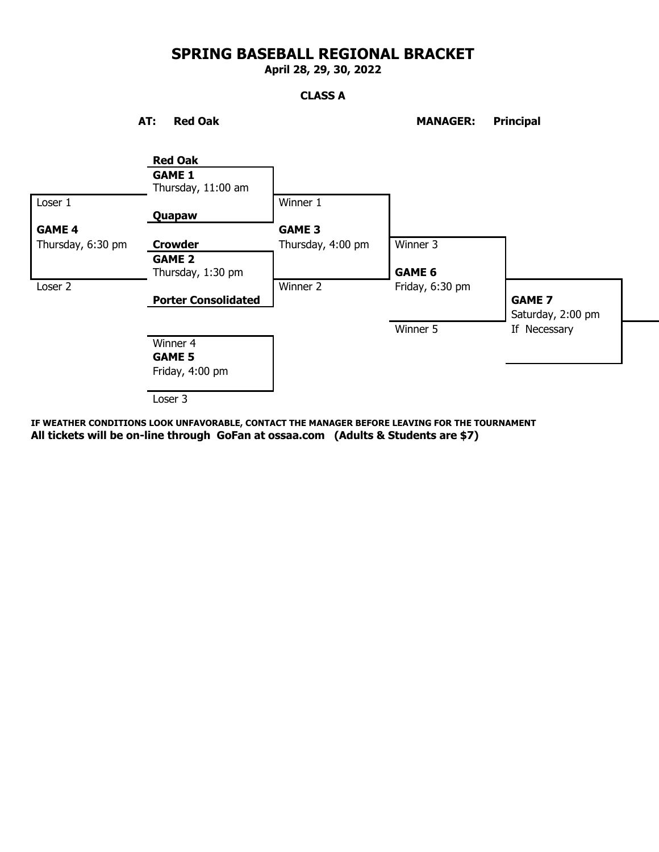**April 28, 29, 30, 2022**

## **CLASS A**

AT: Red Oak MANAGER: Principal

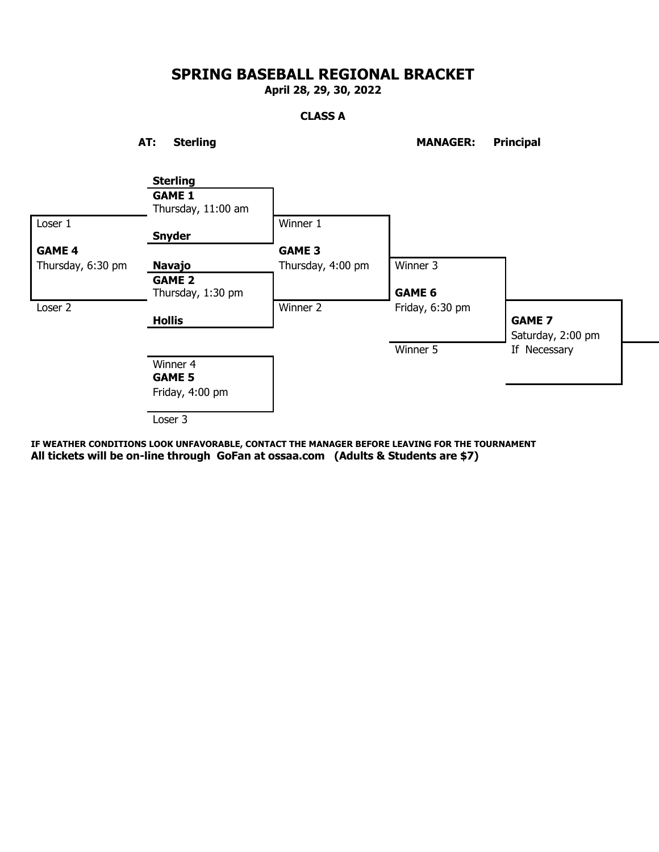**April 28, 29, 30, 2022**

## **CLASS A**

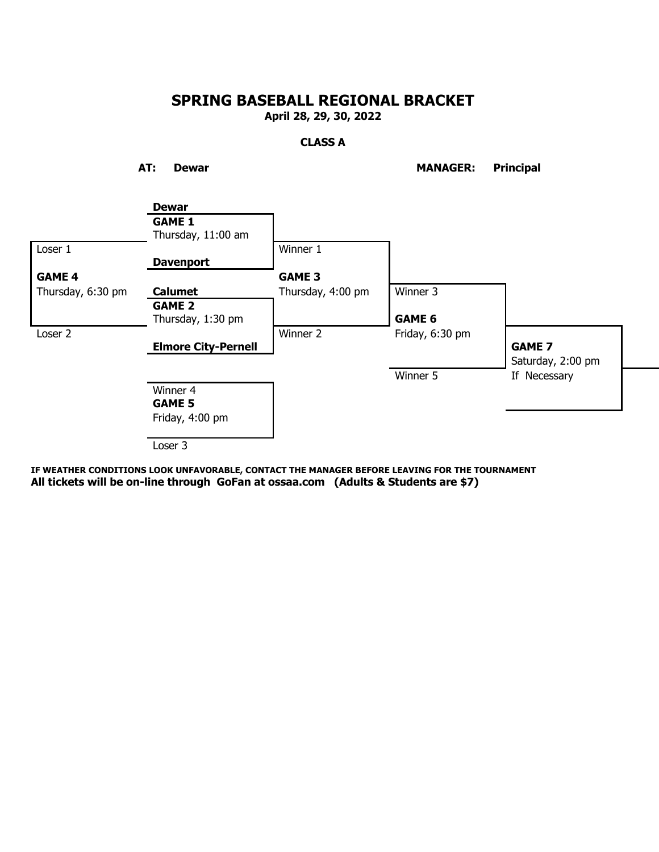**April 28, 29, 30, 2022**

## **CLASS A**

**AT: Dewar MANAGER: Principal**

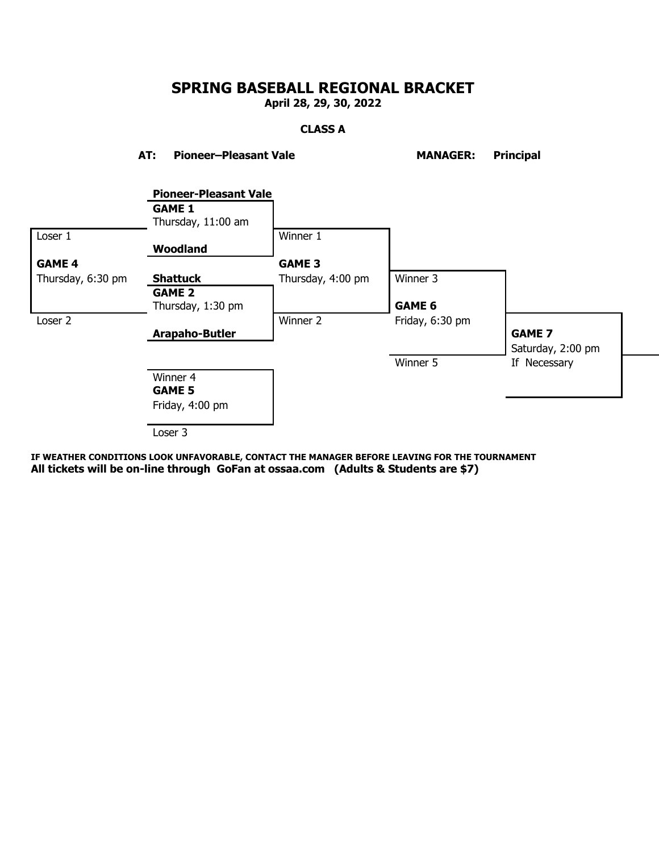**April 28, 29, 30, 2022**

## **CLASS A**

**AT: Pioneer–Pleasant Vale MANAGER: Principal**

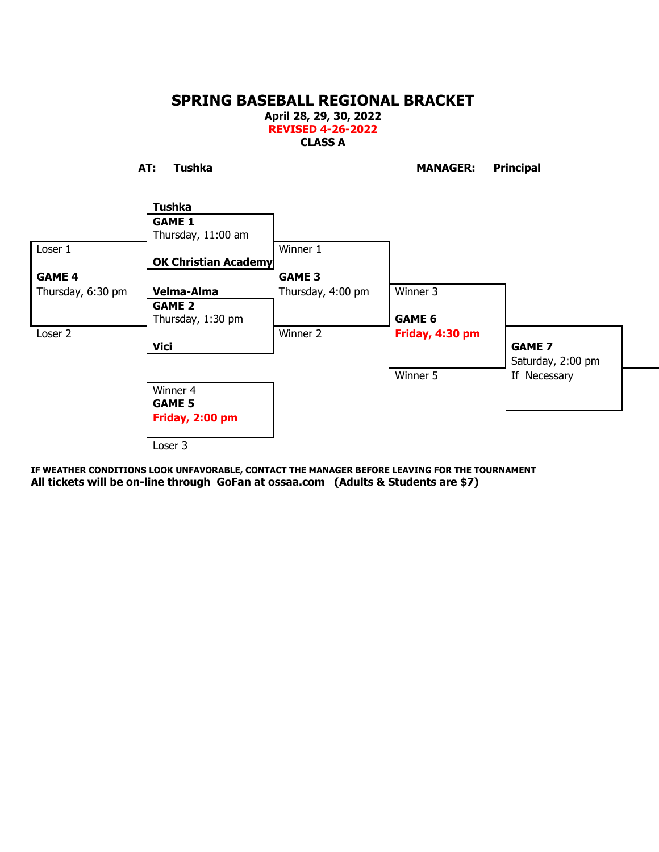**April 28, 29, 30, 2022 REVISED 4-26-2022 CLASS A**

**AT: Tushka MANAGER: Principal**